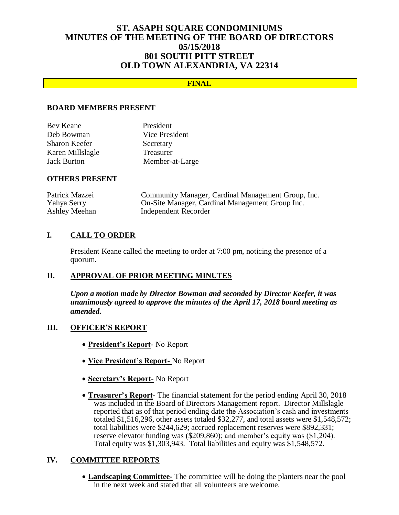# **ST. ASAPH SQUARE CONDOMINIUMS MINUTES OF THE MEETING OF THE BOARD OF DIRECTORS 05/15/2018 801 SOUTH PITT STREET OLD TOWN ALEXANDRIA, VA 22314**

## **FINAL**

#### **BOARD MEMBERS PRESENT**

| Bev Keane          | President       |
|--------------------|-----------------|
| Deb Bowman         | Vice President  |
| Sharon Keefer      | Secretary       |
| Karen Millslagle   | Treasurer       |
| <b>Jack Burton</b> | Member-at-Large |

#### **OTHERS PRESENT**

| Patrick Mazzei | Community Manager, Cardinal Management Group, Inc. |
|----------------|----------------------------------------------------|
| Yahya Serry    | On-Site Manager, Cardinal Management Group Inc.    |
| Ashley Meehan  | Independent Recorder                               |

### **I. CALL TO ORDER**

President Keane called the meeting to order at 7:00 pm, noticing the presence of a quorum.

### **II. APPROVAL OF PRIOR MEETING MINUTES**

*Upon a motion made by Director Bowman and seconded by Director Keefer, it was unanimously agreed to approve the minutes of the April 17, 2018 board meeting as amended.*

### **III. OFFICER'S REPORT**

- **President's Report** No Report
- **Vice President's Report-** No Report
- **Secretary's Report-** No Report
- **Treasurer's Report** The financial statement for the period ending April 30, 2018 was included in the Board of Directors Management report. Director Millslagle reported that as of that period ending date the Association's cash and investments totaled \$1,516,296, other assets totaled \$32,277, and total assets were \$1,548,572; total liabilities were \$244,629; accrued replacement reserves were \$892,331; reserve elevator funding was (\$209,860); and member's equity was (\$1,204). Total equity was \$1,303,943. Total liabilities and equity was \$1,548,572.

### **IV. COMMITTEE REPORTS**

 **Landscaping Committee-** The committee will be doing the planters near the pool in the next week and stated that all volunteers are welcome.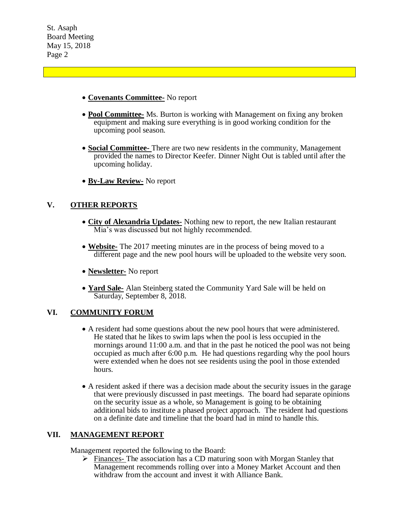- **Covenants Committee-** No report
- **Pool Committee-** Ms. Burton is working with Management on fixing any broken equipment and making sure everything is in good working condition for the upcoming pool season.
- **Social Committee-** There are two new residents in the community, Management provided the names to Director Keefer. Dinner Night Out is tabled until after the upcoming holiday.
- **By-Law Review-** No report

# **V. OTHER REPORTS**

- **City of Alexandria Updates-** Nothing new to report, the new Italian restaurant Mia's was discussed but not highly recommended.
- **Website-** The 2017 meeting minutes are in the process of being moved to a different page and the new pool hours will be uploaded to the website very soon.
- **Newsletter-** No report
- **Yard Sale-** Alan Steinberg stated the Community Yard Sale will be held on Saturday, September 8, 2018.

### **VI. COMMUNITY FORUM**

- A resident had some questions about the new pool hours that were administered. He stated that he likes to swim laps when the pool is less occupied in the mornings around 11:00 a.m. and that in the past he noticed the pool was not being occupied as much after 6:00 p.m. He had questions regarding why the pool hours were extended when he does not see residents using the pool in those extended hours.
- A resident asked if there was a decision made about the security issues in the garage that were previously discussed in past meetings. The board had separate opinions on the security issue as a whole, so Management is going to be obtaining additional bids to institute a phased project approach. The resident had questions on a definite date and timeline that the board had in mind to handle this.

### **VII. MANAGEMENT REPORT**

Management reported the following to the Board:

 $\triangleright$  Finances- The association has a CD maturing soon with Morgan Stanley that Management recommends rolling over into a Money Market Account and then withdraw from the account and invest it with Alliance Bank.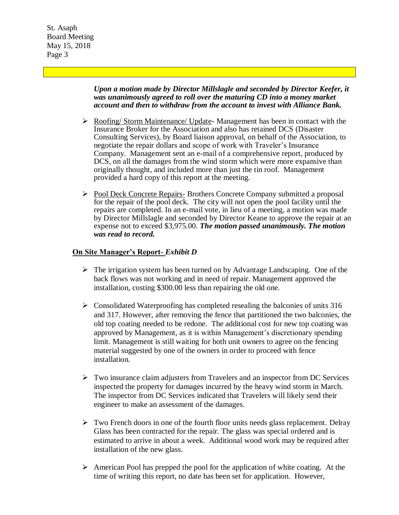> *Upon a motion made by Director Millslagle and seconded by Director Keefer, it was unanimously agreed to roll over the maturing CD into a money market account and then to withdraw from the account to invest with Alliance Bank.*

- $\triangleright$  Roofing/ Storm Maintenance/ Update- Management has been in contact with the Insurance Broker for the Association and also has retained DCS (Disaster Consulting Services), by Board liaison approval, on behalf of the Association, to negotiate the repair dollars and scope of work with Traveler's Insurance Company. Management sent an e-mail of a comprehensive report, produced by DCS, on all the damages from the wind storm which were more expansive than originally thought, and included more than just the tin roof. Management provided a hard copy of this report at the meeting.
- Pool Deck Concrete Repairs- Brothers Concrete Company submitted a proposal for the repair of the pool deck. The city will not open the pool facility until the repairs are completed. In an e-mail vote, in lieu of a meeting, a motion was made by Director Millslagle and seconded by Director Keane to approve the repair at an expense not to exceed \$3,975.00. *The motion passed unanimously. The motion was read to record.*

### **On Site Manager's Report-** *Exhibit D*

- $\triangleright$  The irrigation system has been turned on by Advantage Landscaping. One of the back flows was not working and in need of repair. Management approved the installation, costing \$300.00 less than repairing the old one.
- $\triangleright$  Consolidated Waterproofing has completed resealing the balconies of units 316 and 317. However, after removing the fence that partitioned the two balconies, the old top coating needed to be redone. The additional cost for new top coating was approved by Management, as it is within Management's discretionary spending limit. Management is still waiting for both unit owners to agree on the fencing material suggested by one of the owners in order to proceed with fence installation.
- $\triangleright$  Two insurance claim adjusters from Travelers and an inspector from DC Services inspected the property for damages incurred by the heavy wind storm in March. The inspector from DC Services indicated that Travelers will likely send their engineer to make an assessment of the damages.
- $\triangleright$  Two French doors in one of the fourth floor units needs glass replacement. Delray Glass has been contracted for the repair. The glass was special ordered and is estimated to arrive in about a week. Additional wood work may be required after installation of the new glass.
- $\triangleright$  American Pool has prepped the pool for the application of white coating. At the time of writing this report, no date has been set for application. However,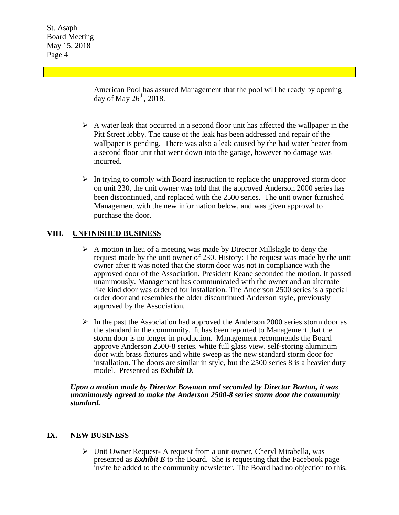> American Pool has assured Management that the pool will be ready by opening day of May  $26<sup>th</sup>$ , 2018.

- $\triangleright$  A water leak that occurred in a second floor unit has affected the wallpaper in the Pitt Street lobby. The cause of the leak has been addressed and repair of the wallpaper is pending. There was also a leak caused by the bad water heater from a second floor unit that went down into the garage, however no damage was incurred.
- $\triangleright$  In trying to comply with Board instruction to replace the unapproved storm door on unit 230, the unit owner was told that the approved Anderson 2000 series has been discontinued, and replaced with the 2500 series. The unit owner furnished Management with the new information below, and was given approval to purchase the door.

### **VIII. UNFINISHED BUSINESS**

- $\triangleright$  A motion in lieu of a meeting was made by Director Millslagle to deny the request made by the unit owner of 230. History: The request was made by the unit owner after it was noted that the storm door was not in compliance with the approved door of the Association. President Keane seconded the motion. It passed unanimously. Management has communicated with the owner and an alternate like kind door was ordered for installation. The Anderson 2500 series is a special order door and resembles the older discontinued Anderson style, previously approved by the Association.
- $\triangleright$  In the past the Association had approved the Anderson 2000 series storm door as the standard in the community. It has been reported to Management that the storm door is no longer in production. Management recommends the Board approve Anderson 2500-8 series, white full glass view, self-storing aluminum door with brass fixtures and white sweep as the new standard storm door for installation. The doors are similar in style, but the 2500 series 8 is a heavier duty model. Presented as *Exhibit D.*

*Upon a motion made by Director Bowman and seconded by Director Burton, it was unanimously agreed to make the Anderson 2500-8 series storm door the community standard.*

### **IX. NEW BUSINESS**

 $\triangleright$  Unit Owner Request- A request from a unit owner, Cheryl Mirabella, was presented as *Exhibit E* to the Board. She is requesting that the Facebook page invite be added to the community newsletter. The Board had no objection to this.